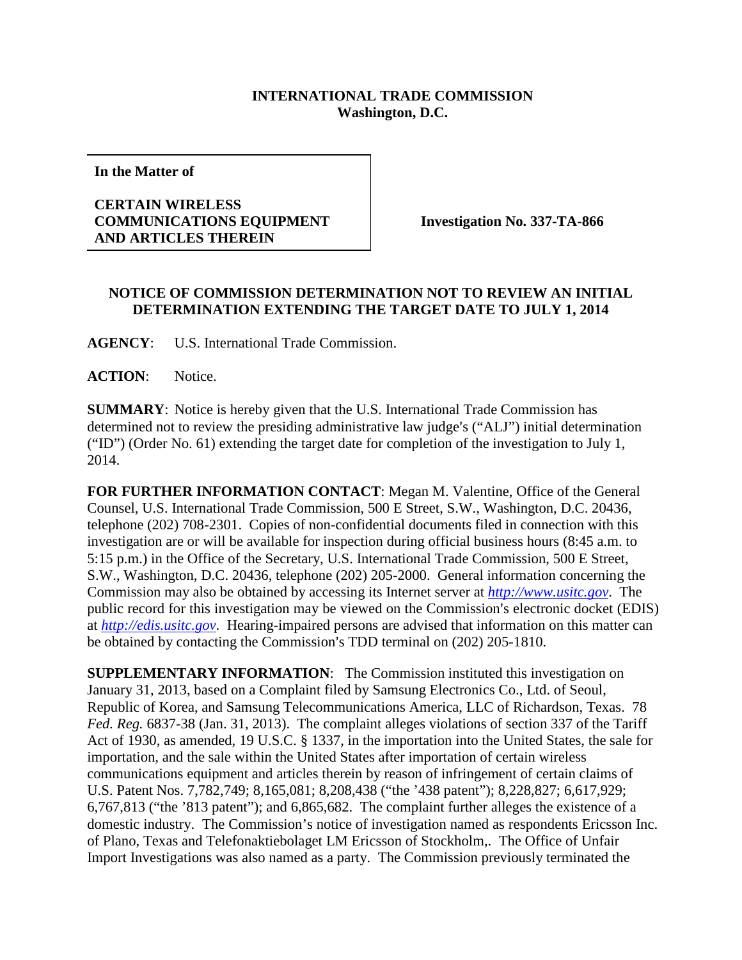## **INTERNATIONAL TRADE COMMISSION Washington, D.C.**

**In the Matter of**

## **CERTAIN WIRELESS COMMUNICATIONS EQUIPMENT AND ARTICLES THEREIN**

**Investigation No. 337-TA-866**

## **NOTICE OF COMMISSION DETERMINATION NOT TO REVIEW AN INITIAL DETERMINATION EXTENDING THE TARGET DATE TO JULY 1, 2014**

**AGENCY**: U.S. International Trade Commission.

**ACTION**: Notice.

**SUMMARY**: Notice is hereby given that the U.S. International Trade Commission has determined not to review the presiding administrative law judge's ("ALJ") initial determination ("ID") (Order No. 61) extending the target date for completion of the investigation to July 1, 2014.

**FOR FURTHER INFORMATION CONTACT**: Megan M. Valentine, Office of the General Counsel, U.S. International Trade Commission, 500 E Street, S.W., Washington, D.C. 20436, telephone (202) 708-2301. Copies of non-confidential documents filed in connection with this investigation are or will be available for inspection during official business hours (8:45 a.m. to 5:15 p.m.) in the Office of the Secretary, U.S. International Trade Commission, 500 E Street, S.W., Washington, D.C. 20436, telephone (202) 205-2000. General information concerning the Commission may also be obtained by accessing its Internet server at *[http://www.usitc.gov](http://www.usitc.gov/)*. The public record for this investigation may be viewed on the Commission's electronic docket (EDIS) at *[http://edis.usitc.gov](http://edis.usitc.gov/)*. Hearing-impaired persons are advised that information on this matter can be obtained by contacting the Commission's TDD terminal on (202) 205-1810.

**SUPPLEMENTARY INFORMATION:** The Commission instituted this investigation on January 31, 2013, based on a Complaint filed by Samsung Electronics Co., Ltd. of Seoul, Republic of Korea, and Samsung Telecommunications America, LLC of Richardson, Texas. 78 *Fed. Reg.* 6837-38 (Jan. 31, 2013).The complaint alleges violations of section 337 of the Tariff Act of 1930, as amended, 19 U.S.C. § 1337, in the importation into the United States, the sale for importation, and the sale within the United States after importation of certain wireless communications equipment and articles therein by reason of infringement of certain claims of U.S. Patent Nos. 7,782,749; 8,165,081; 8,208,438 ("the '438 patent"); 8,228,827; 6,617,929; 6,767,813 ("the '813 patent"); and 6,865,682. The complaint further alleges the existence of a domestic industry. The Commission's notice of investigation named as respondents Ericsson Inc. of Plano, Texas and Telefonaktiebolaget LM Ericsson of Stockholm,. The Office of Unfair Import Investigations was also named as a party. The Commission previously terminated the